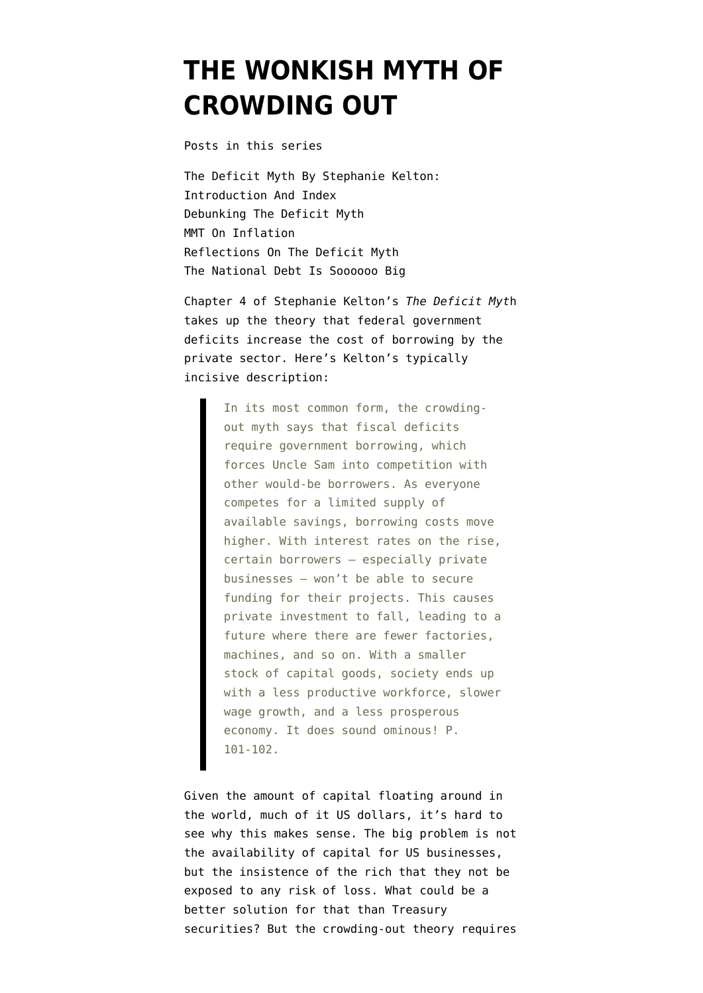## **[THE WONKISH MYTH OF](https://www.emptywheel.net/2020/07/15/the-wonkish-myth-of-crowding-out/) [CROWDING OUT](https://www.emptywheel.net/2020/07/15/the-wonkish-myth-of-crowding-out/)**

Posts in this series

[The Deficit Myth By Stephanie Kelton:](https://www.emptywheel.net/2020/06/11/the-deficit-myth-by-stephanie-kelton-introduction-and-index/) [Introduction And Index](https://www.emptywheel.net/2020/06/11/the-deficit-myth-by-stephanie-kelton-introduction-and-index/) [Debunking The Deficit Myth](https://www.emptywheel.net/2020/06/16/debunking-the-deficit-myth/) [MMT On Inflation](https://www.emptywheel.net/2020/06/22/mmt-on-inflation/) [Reflections On The Deficit Myth](https://www.emptywheel.net/2020/06/29/reflections-on-the-deficit-myth/) [The National Debt Is Soooooo Big](https://www.emptywheel.net/2020/07/06/the-national-debt-is-sooooooo-big/)

Chapter 4 of Stephanie Kelton's *The Deficit Myt*h takes up the theory that federal government deficits increase the cost of borrowing by the private sector. Here's Kelton's typically incisive description:

> In its most common form, the crowdingout myth says that fiscal deficits require government borrowing, which forces Uncle Sam into competition with other would-be borrowers. As everyone competes for a limited supply of available savings, borrowing costs move higher. With interest rates on the rise, certain borrowers — especially private businesses — won't be able to secure funding for their projects. This causes private investment to fall, leading to a future where there are fewer factories, machines, and so on. With a smaller stock of capital goods, society ends up with a less productive workforce, slower wage growth, and a less prosperous economy. It does sound ominous! P. 101-102.

Given the amount of capital floating around in the world, much of it US dollars, it's hard to see why this makes sense. The big problem is not the availability of capital for US businesses, but the insistence of the rich that they not be exposed to any risk of loss. What could be a better solution for that than Treasury securities? But the crowding-out theory requires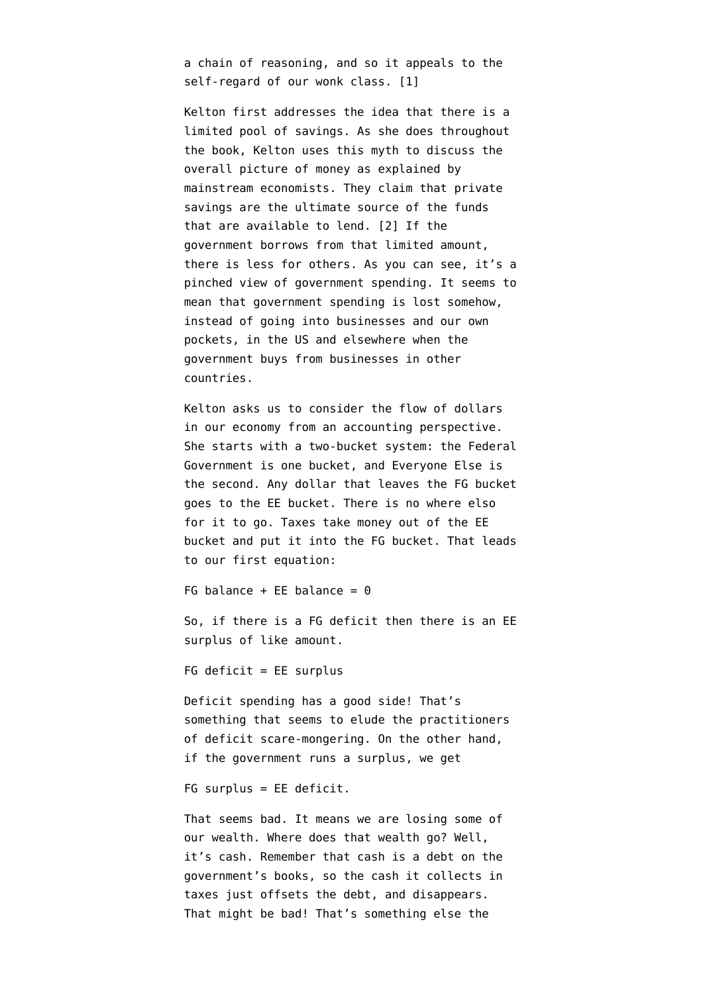a chain of reasoning, and so it appeals to the self-regard of our wonk class. [1]

Kelton first addresses the idea that there is a limited pool of savings. As she does throughout the book, Kelton uses this myth to discuss the overall picture of money as explained by mainstream economists. They claim that private savings are the ultimate source of the funds that are available to lend. [2] If the government borrows from that limited amount, there is less for others. As you can see, it's a pinched view of government spending. It seems to mean that government spending is lost somehow, instead of going into businesses and our own pockets, in the US and elsewhere when the government buys from businesses in other countries.

Kelton asks us to consider the flow of dollars in our economy from an accounting perspective. She starts with a two-bucket system: the Federal Government is one bucket, and Everyone Else is the second. Any dollar that leaves the FG bucket goes to the EE bucket. There is no where elso for it to go. Taxes take money out of the EE bucket and put it into the FG bucket. That leads to our first equation:

FG balance + EE balance =  $\theta$ 

So, if there is a FG deficit then there is an EE surplus of like amount.

 $FG$  deficit = EE surplus

Deficit spending has a good side! That's something that seems to elude the practitioners of deficit scare-mongering. On the other hand, if the government runs a surplus, we get

FG surplus = EE deficit.

That seems bad. It means we are losing some of our wealth. Where does that wealth go? Well, it's cash. Remember that cash is a debt on the government's books, so the cash it collects in taxes just offsets the debt, and disappears. That might be bad! That's something else the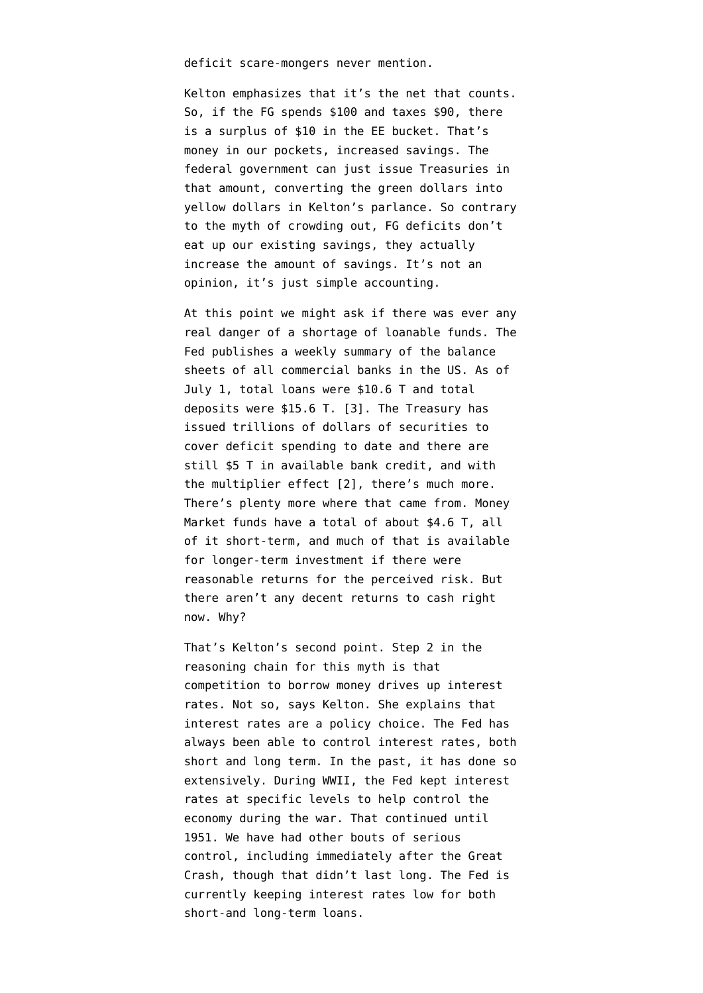deficit scare-mongers never mention.

Kelton emphasizes that it's the net that counts. So, if the FG spends \$100 and taxes \$90, there is a surplus of \$10 in the EE bucket. That's money in our pockets, increased savings. The federal government can just issue Treasuries in that amount, converting the green dollars into yellow dollars in Kelton's parlance. So contrary to the myth of crowding out, FG deficits don't eat up our existing savings, they actually increase the amount of savings. It's not an opinion, it's just simple accounting.

At this point we might ask if there was ever any real danger of a shortage of loanable funds. The Fed publishes a [weekly summary](https://www.federalreserve.gov/releases/h8/current/default.htm) of the balance sheets of all commercial banks in the US. As of July 1, total loans were \$10.6 T and total deposits were \$15.6 T. [3]. The Treasury has issued trillions of dollars of securities to cover deficit spending to date and there are still \$5 T in available bank credit, and with the multiplier effect [2], there's much more. There's plenty more where that came from. Money Market funds have a total of about \$4.6 T, all of it short-term, and much of that is available for longer-term investment if there were reasonable returns for the perceived risk. But there aren't any decent returns to cash right now. Why?

That's Kelton's second point. Step 2 in the reasoning chain for this myth is that competition to borrow money drives up interest rates. Not so, says Kelton. She explains that interest rates are a policy choice. The Fed has always been able to control interest rates, both short and long term. In the past, it has done so extensively. During WWII, the Fed kept interest rates at specific levels to help control the economy during the war. That continued until 1951. We have had other bouts of serious control, including immediately after the Great Crash, though that didn't last long. The Fed is currently keeping interest rates low for both short-and long-term loans.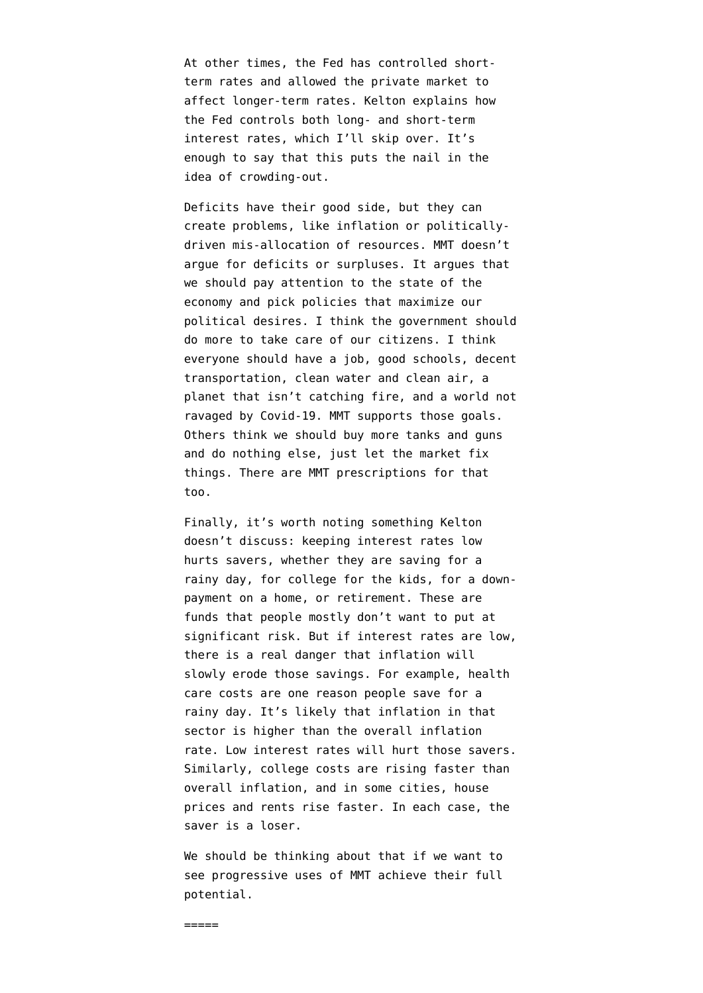At other times, the Fed has controlled shortterm rates and allowed the private market to affect longer-term rates. Kelton explains how the Fed controls both long- and short-term interest rates, which I'll skip over. It's enough to say that this puts the nail in the idea of crowding-out.

Deficits have their good side, but they can create problems, like inflation or politicallydriven mis-allocation of resources. MMT doesn't argue for deficits or surpluses. It argues that we should pay attention to the state of the economy and pick policies that maximize our political desires. I think the government should do more to take care of our citizens. I think everyone should have a job, good schools, decent transportation, clean water and clean air, a planet that isn't catching fire, and a world not ravaged by Covid-19. MMT supports those goals. Others think we should buy more tanks and guns and do nothing else, just let the market fix things. There are MMT prescriptions for that too.

Finally, it's worth noting something Kelton doesn't discuss: keeping interest rates low hurts savers, whether they are saving for a rainy day, for college for the kids, for a downpayment on a home, or retirement. These are funds that people mostly don't want to put at significant risk. But if interest rates are low, there is a real danger that inflation will slowly erode those savings. For example, health care costs are one reason people save for a rainy day. It's likely that inflation in that sector is higher than the overall inflation rate. Low interest rates will hurt those savers. Similarly, college costs are rising faster than overall inflation, and in some cities, house prices and rents rise faster. In each case, the saver is a loser.

We should be thinking about that if we want to see progressive uses of MMT achieve their full potential.

 $=$